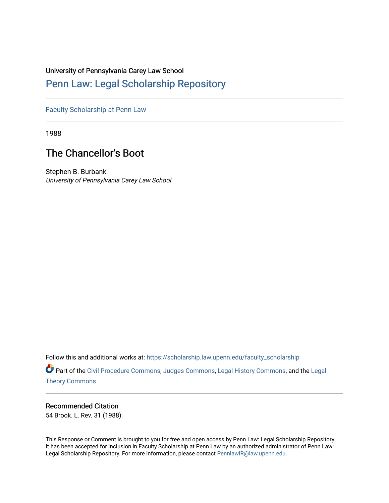### University of Pennsylvania Carey Law School

## [Penn Law: Legal Scholarship Repository](https://scholarship.law.upenn.edu/)

[Faculty Scholarship at Penn Law](https://scholarship.law.upenn.edu/faculty_scholarship)

1988

# The Chancellor's Boot

Stephen B. Burbank University of Pennsylvania Carey Law School

Follow this and additional works at: [https://scholarship.law.upenn.edu/faculty\\_scholarship](https://scholarship.law.upenn.edu/faculty_scholarship?utm_source=scholarship.law.upenn.edu%2Ffaculty_scholarship%2F763&utm_medium=PDF&utm_campaign=PDFCoverPages) 

Part of the [Civil Procedure Commons,](http://network.bepress.com/hgg/discipline/584?utm_source=scholarship.law.upenn.edu%2Ffaculty_scholarship%2F763&utm_medium=PDF&utm_campaign=PDFCoverPages) [Judges Commons](http://network.bepress.com/hgg/discipline/849?utm_source=scholarship.law.upenn.edu%2Ffaculty_scholarship%2F763&utm_medium=PDF&utm_campaign=PDFCoverPages), [Legal History Commons,](http://network.bepress.com/hgg/discipline/904?utm_source=scholarship.law.upenn.edu%2Ffaculty_scholarship%2F763&utm_medium=PDF&utm_campaign=PDFCoverPages) and the [Legal](http://network.bepress.com/hgg/discipline/369?utm_source=scholarship.law.upenn.edu%2Ffaculty_scholarship%2F763&utm_medium=PDF&utm_campaign=PDFCoverPages)  [Theory Commons](http://network.bepress.com/hgg/discipline/369?utm_source=scholarship.law.upenn.edu%2Ffaculty_scholarship%2F763&utm_medium=PDF&utm_campaign=PDFCoverPages)

#### Recommended Citation

54 Brook. L. Rev. 31 (1988).

This Response or Comment is brought to you for free and open access by Penn Law: Legal Scholarship Repository. It has been accepted for inclusion in Faculty Scholarship at Penn Law by an authorized administrator of Penn Law: Legal Scholarship Repository. For more information, please contact [PennlawIR@law.upenn.edu.](mailto:PennlawIR@law.upenn.edu)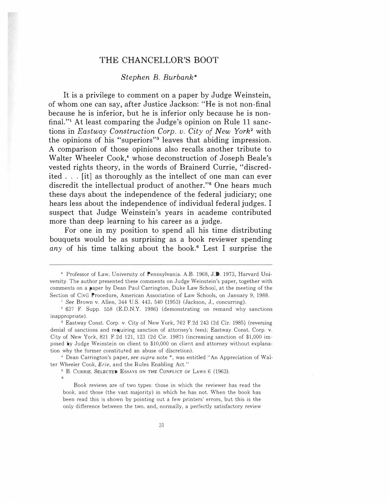### THE CHANCELLOR'S BOOT

#### Stephen B. Burbank\*

It is a privilege to comment on a paper by Judge Weinstein, of whom one can say, after Justice Jackson: "He is not non-final because he is inferior, but he is inferior only because he is nonfinal."1 At least comparing the Judge's opinion on Rule 11 sanctions in Eastway Construction Corp. v. City of New York2 with the opinions of his "superiors"3 leaves that abiding impression. A comparison of those opinions also recalls another tribute to Walter Wheeler Cook,<sup>4</sup> whose deconstruction of Joseph Beale's vested rights theory, in the words of Brainerd Currie, "discredited ... [it] as thoroughly as the intellect of one man can ever discredit the intellectual product of another."<sup>5</sup> One hears much these days about the independence of the federal judiciary; one hears less about the independence of individual federal judges. I suspect that Judge Weinstein's years in academe contributed more than deep learning to his career as a judge.

For one in my position to spend all his time distributing bouquets would be as surprising as a book reviewer spending any of his time talking about the book.<sup>6</sup> Lest I surprise the

' See Brown v. Allen, 344 U.S. 443, 540 (1953) (Jackson, J., concurring).

<sup>+</sup> Dean Carrington's paper, see supra note \*, was entitled "An Appreciation of Walter Wheeler Cook, Erie, and the Rules Enabling Act."

• B. CuRRIE, SELECTED EssAYS ON THE CoNFLICT or LAws 6 (1963).

Book reviews are of two types: those in which the reviewer has read the book, and those (the vast majority) in which he has not. When the book has been read this is shown by pointing out a few printers' errors, but this is the only difference between the two, and, normally, a perfectly satisfactory review

<sup>\*</sup> Professor of Law, University of Pennsylvania. A.B. 1968, J.D. 1973, Harvard University. The author presented these comments on Judge Weinstein's paper, together with comments on a paper by Dean Paul Carrington, Duke Law School, at the meeting of the Section of Civil Procedure, American Association of Law Schools, on January 9, 1988.

<sup>2</sup>637 F. Supp. 558 (E.D.N.Y. 1986) (demonstrating on remand why sanctions inappropriate).

<sup>3</sup>Eastway Const. Corp. v. City of New York, 762 F.2d 243 (2d Cir. 1985) (reversing denial of sanctions and requiring sanction of attorney's fees); Eastway Const. Corp. v. City of New York, 821 F.2d 121, 123 (2d Cir. 1987) (increasing sanction of \$1,000 imposed by Judge Weinstein on client to \$10,000 on client and attorney without explanation why the former constituted an abuse of discretion).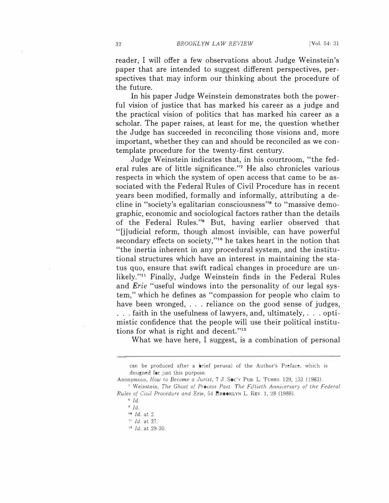reader, I will offer a few observations about Judge Weinstein's paper that are intended to suggest different perspectives, perspectives that may inform our thinking about the procedure of the future.

In his paper Judge Weinstein demonstrates both the powerful vision of justice that has marked his career as a judge and the practical vision of politics that has marked his career as a scholar. The paper raises, at least for me, the question whether the Judge has succeeded in reconciling those visions and, more important, whether they can and should be reconciled as we contemplate procedure for the twenty-first century.

Judge Weinstein indicates that, in his courtroom, "the federal rules are of little significance."7 He also chronicles various respects in which the system of open access that came to be associated with the Federal Rules of Civil Procedure has in recent years been modified, formally and informally, attributing a decline in "society's egalitarian consciousness"8 to "massive demographic, economic and sociological factors rather than the details of the Federal Rules."9 But, having earlier observed that "[j]udicial reform, though almost invisible, can have powerful secondary effects on society,"<sup>10</sup> he takes heart in the notion that "the inertia inherent in any procedural system, and the institutional structures which have an interest in maintaining the status quo, ensure that swift radical changes in procedure are unlikely."11 Finally, Judge Weinstein finds in the Federal Rules and *Erie* "useful windows into the personality of our legal system," which he defines as "compassion for people who claim to have been wronged, ... reliance on the good sense of judges, ... faith in the usefulness of lawyers, and, ultimately, ... optimistic confidence that the people will use their political institutions for what is right and decent."<sup>12</sup>

What we have here, I suggest, is a combination of personal

can be produced after a brief perusal of the Author's Preface, which is designed for just this purpose.

Anonymous, How to Become a Jurist, 7 J. Soc'v PUB. L. TCHRS. 129, 133 (1963).

<sup>&</sup>lt;sup>7</sup> Weinstein, The Ghost of Process Past: The Fiftieth Anniversary of the Federal Rules of Civil Procedure and Erie, 54 BROOKLYN L. REv. 1, 28 (1988).

 $\delta$  Id.

 $9$   $Id.$ 

 $10$  Id. at 2.

 $11$  *Id.* at 27.

<sup>&</sup>lt;sup>12</sup> *Id.* at 29-30.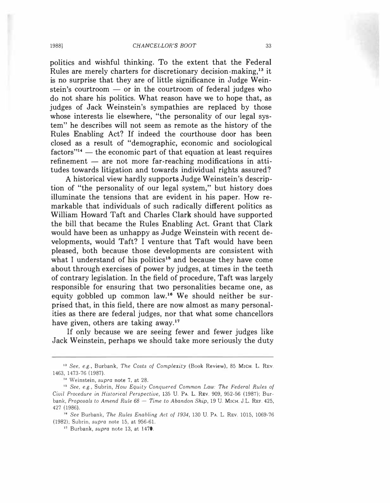politics and wishful thinking. To the extent that the Federal Rules are merely charters for discretionary decision-making,13 it is no surprise that they are of little significance in Judge Weinstein's courtroom  $-$  or in the courtroom of federal judges who do not share his politics. What reason have we to hope that, as judges of Jack Weinstein's sympathies are replaced by those whose interests lie elsewhere, "the personality of our legal system" he describes will not seem as remote as the history of the Rules Enabling Act? If indeed the courthouse door has been closed as a result of "demographic, economic and sociological  $factors''<sup>14</sup>$  - the economic part of that equation at least requires  $refinement$   $-$  are not more far-reaching modifications in attitudes towards litigation and towards individual rights assured?

A historical view hardly supports Judge Weinstein's description of "the personality of our legal system," but history does illuminate the tensions that are evident in his paper. How remarkable that individuals of such radically different politics as William Howard Taft and Charles Clark should have supported the bill that became the Rules Enabling Act. Grant that Clark would have been as unhappy as Judge Weinstein with recent developments, would Taft? I venture that Taft would have been pleased, both because those developments are consistent with what I understand of his politics<sup>15</sup> and because they have come about through exercises of power by judges, at times in the teeth of contrary legislation. In the field of procedure, Taft was largely responsible for ensuring that two personalities became one, as equity gobbled up common law.16 We should neither be surprised that, in this field, there are now almost as many personalities as there are federal judges, nor that what some chancellors have given, others are taking away.<sup>17</sup>

If only because we are seeing fewer and fewer judges like Jack Weinstein, perhaps we should take more seriously the duty

<sup>13</sup> See, e.g., Burbank, The Costs of Complexity (Book Review), 85 MICH. L. REV. 1463, 1473-76 (1987).

<sup>&</sup>lt;sup>14</sup> Weinstein, supra note 7, at 28.

<sup>&</sup>lt;sup>15</sup> See, e.g., Subrin, How Equity Conquered Common Law: The Federal Rules of Ciuil Procedure in Historical Perspectiue, 135 U. PA. L. REv. 909, 952-56 (1987); Burbank, Proposals to Amend Rule  $68 -$  Time to Abandon Ship, 19 U. MICH. J.L. REF. 425, 427 (1986).

<sup>&</sup>lt;sup>16</sup> See Burbank, The Rules Enabling Act of 1934, 130 U. PA. L. REV. 1015, 1069-76 (1982); Subrin, supra note 15, at 956-61.

<sup>&</sup>lt;sup>17</sup> Burbank, supra note 13, at 1470.